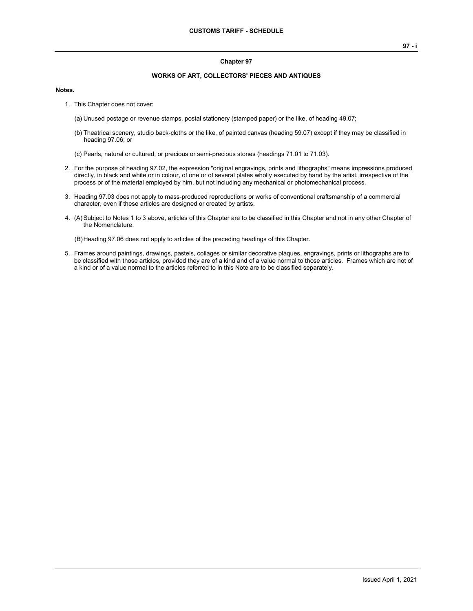## **Chapter 97**

## **WORKS OF ART, COLLECTORS' PIECES AND ANTIQUES**

## **Notes.**

- 1. This Chapter does not cover:
	- (a) Unused postage or revenue stamps, postal stationery (stamped paper) or the like, of heading 49.07;
	- (b) Theatrical scenery, studio back-cloths or the like, of painted canvas (heading 59.07) except if they may be classified in heading 97.06; or
	- (c) Pearls, natural or cultured, or precious or semi-precious stones (headings 71.01 to 71.03).
- 2. For the purpose of heading 97.02, the expression "original engravings, prints and lithographs" means impressions produced directly, in black and white or in colour, of one or of several plates wholly executed by hand by the artist, irrespective of the process or of the material employed by him, but not including any mechanical or photomechanical process.
- 3. Heading 97.03 does not apply to mass-produced reproductions or works of conventional craftsmanship of a commercial character, even if these articles are designed or created by artists.
- 4. (A)Subject to Notes 1 to 3 above, articles of this Chapter are to be classified in this Chapter and not in any other Chapter of the Nomenclature.

(B)Heading 97.06 does not apply to articles of the preceding headings of this Chapter.

5. Frames around paintings, drawings, pastels, collages or similar decorative plaques, engravings, prints or lithographs are to be classified with those articles, provided they are of a kind and of a value normal to those articles. Frames which are not of a kind or of a value normal to the articles referred to in this Note are to be classified separately.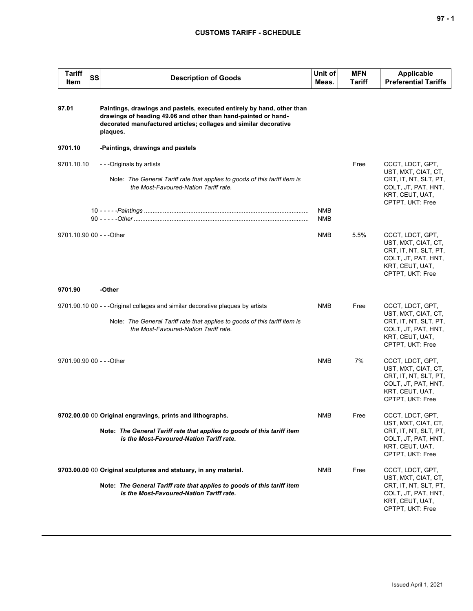## **CUSTOMS TARIFF - SCHEDULE**

| Tariff<br>SS<br>Item                                             | <b>Description of Goods</b>                                                                                                                                                                                              |            | Unit of<br>Meas. | <b>MFN</b><br>Tariff | <b>Applicable</b><br><b>Preferential Tariffs</b>                                                                               |
|------------------------------------------------------------------|--------------------------------------------------------------------------------------------------------------------------------------------------------------------------------------------------------------------------|------------|------------------|----------------------|--------------------------------------------------------------------------------------------------------------------------------|
| 97.01                                                            | Paintings, drawings and pastels, executed entirely by hand, other than<br>drawings of heading 49.06 and other than hand-painted or hand-<br>decorated manufactured articles; collages and similar decorative<br>plaques. |            |                  |                      |                                                                                                                                |
| 9701.10                                                          | -Paintings, drawings and pastels                                                                                                                                                                                         |            |                  |                      |                                                                                                                                |
| 9701.10.10                                                       | - - -Originals by artists<br>Note: The General Tariff rate that applies to goods of this tariff item is<br>the Most-Favoured-Nation Tariff rate.                                                                         |            | <b>NMB</b>       | Free                 | CCCT, LDCT, GPT,<br>UST, MXT, CIAT, CT,<br>CRT, IT, NT, SLT, PT,<br>COLT, JT, PAT, HNT,<br>KRT, CEUT, UAT,<br>CPTPT, UKT: Free |
|                                                                  |                                                                                                                                                                                                                          |            | <b>NMB</b>       |                      |                                                                                                                                |
| 9701.10.90 00 - - - Other                                        |                                                                                                                                                                                                                          |            | <b>NMB</b>       | 5.5%                 | CCCT, LDCT, GPT,<br>UST, MXT, CIAT, CT,<br>CRT, IT, NT, SLT, PT,<br>COLT, JT, PAT, HNT,<br>KRT, CEUT, UAT,<br>CPTPT, UKT: Free |
| 9701.90                                                          | -Other                                                                                                                                                                                                                   |            |                  |                      |                                                                                                                                |
|                                                                  | 9701.90.10 00 - - - Original collages and similar decorative plagues by artists<br>Note: The General Tariff rate that applies to goods of this tariff item is<br>the Most-Favoured-Nation Tariff rate.                   |            | NMB              | Free                 | CCCT, LDCT, GPT,<br>UST, MXT, CIAT, CT,<br>CRT, IT, NT, SLT, PT,<br>COLT, JT, PAT, HNT,<br>KRT, CEUT, UAT,<br>CPTPT, UKT: Free |
| 9701.90.90 00 - - - Other                                        |                                                                                                                                                                                                                          |            | <b>NMB</b>       | 7%                   | CCCT, LDCT, GPT,<br>UST, MXT, CIAT, CT,<br>CRT, IT, NT, SLT, PT,<br>COLT, JT, PAT, HNT,<br>KRT, CEUT, UAT,<br>CPTPT, UKT: Free |
| 9702.00.00 00 Original engravings, prints and lithographs.       |                                                                                                                                                                                                                          | <b>NMB</b> | Free             | CCCT, LDCT, GPT,     |                                                                                                                                |
|                                                                  | Note: The General Tariff rate that applies to goods of this tariff item<br>is the Most-Favoured-Nation Tariff rate.                                                                                                      |            |                  |                      | UST, MXT, CIAT, CT,<br>CRT, IT, NT, SLT, PT,<br>COLT, JT, PAT, HNT,<br>KRT, CEUT, UAT,<br>CPTPT, UKT: Free                     |
| 9703.00.00 00 Original sculptures and statuary, in any material. |                                                                                                                                                                                                                          | NMB        | Free             | CCCT, LDCT, GPT,     |                                                                                                                                |
|                                                                  | Note: The General Tariff rate that applies to goods of this tariff item<br>is the Most-Favoured-Nation Tariff rate.                                                                                                      |            |                  |                      | UST, MXT, CIAT, CT,<br>CRT, IT, NT, SLT, PT,<br>COLT, JT, PAT, HNT,<br>KRT, CEUT, UAT,<br>CPTPT, UKT: Free                     |